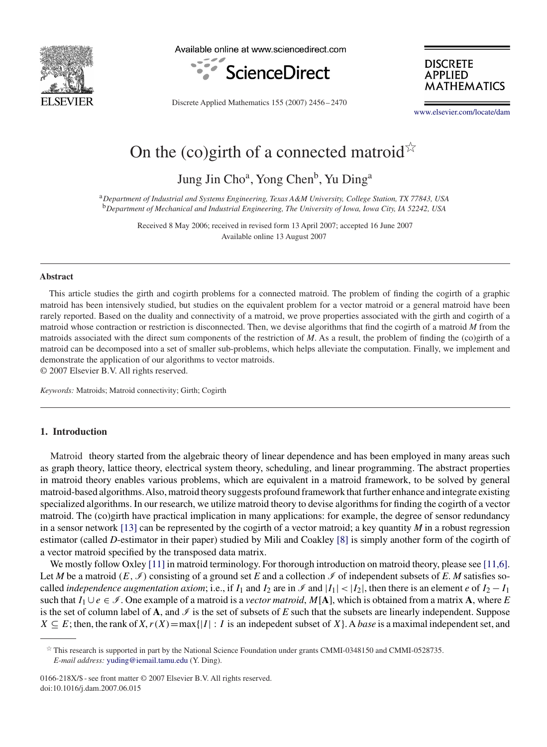

Available online at www.sciencedirect.com



**DISCRETE APPLIED MATHEMATICS** 

Discrete Applied Mathematics 155 (2007) 2456 – 2470

[www.elsevier.com/locate/dam](http://www.elsevier.com/locate/dam)

# On the (co)girth of a connected matroid $\overrightarrow{A}$

Jung Jin Cho<sup>a</sup>, Yong Chen<sup>b</sup>, Yu Ding<sup>a</sup>

<sup>a</sup>*Department of Industrial and Systems Engineering, Texas A&M University, College Station, TX 77843, USA* <sup>b</sup>*Department of Mechanical and Industrial Engineering, The University of Iowa, Iowa City, IA 52242, USA*

> Received 8 May 2006; received in revised form 13 April 2007; accepted 16 June 2007 Available online 13 August 2007

#### **Abstract**

This article studies the girth and cogirth problems for a connected matroid. The problem of finding the cogirth of a graphic matroid has been intensively studied, but studies on the equivalent problem for a vector matroid or a general matroid have been rarely reported. Based on the duality and connectivity of a matroid, we prove properties associated with the girth and cogirth of a matroid whose contraction or restriction is disconnected. Then, we devise algorithms that find the cogirth of a matroid *M* from the matroids associated with the direct sum components of the restriction of *M*. As a result, the problem of finding the (co)girth of a matroid can be decomposed into a set of smaller sub-problems, which helps alleviate the computation. Finally, we implement and demonstrate the application of our algorithms to vector matroids.

© 2007 Elsevier B.V. All rights reserved.

*Keywords:* Matroids; Matroid connectivity; Girth; Cogirth

## **1. Introduction**

Matroid theory started from the algebraic theory of linear dependence and has been employed in many areas such as graph theory, lattice theory, electrical system theory, scheduling, and linear programming. The abstract properties in matroid theory enables various problems, which are equivalent in a matroid framework, to be solved by general matroid-based algorithms.Also, matroid theory suggests profound framework that further enhance and integrate existing specialized algorithms. In our research, we utilize matroid theory to devise algorithms for finding the cogirth of a vector matroid. The (co)girth have practical implication in many applications: for example, the degree of sensor redundancy in a sensor network [\[13\]](#page-14-0) can be represented by the cogirth of a vector matroid; a key quantity *M* in a robust regression estimator (called *D*-estimator in their paper) studied by Mili and Coakley [\[8\]](#page-14-0) is simply another form of the cogirth of a vector matroid specified by the transposed data matrix.

We mostly follow Oxley [\[11\]](#page-14-0) in matroid terminology. For thorough introduction on matroid theory, please see [11,6]. Let *M* be a matroid  $(E, \mathcal{I})$  consisting of a ground set *E* and a collection  $\mathcal{I}$  of independent subsets of *E*. *M* satisfies socalled *independence augmentation axiom*; i.e., if  $I_1$  and  $I_2$  are in  $\mathcal I$  and  $|I_1| < |I_2|$ , then there is an element *e* of  $I_2 - I_1$ such that  $I_1 \cup e \in \mathcal{I}$ . One example of a matroid is a *vector matroid*, M[**A**], which is obtained from a matrix **A**, where *E* is the set of column label of **A**, and  $\mathcal{I}$  is the set of subsets of *E* such that the subsets are linearly independent. Suppose  $X \subseteq E$ ; then, the rank of  $X, r(X) = \max\{|I| : I$  is an indepedent subset of  $X\}$ . A *base* is a maximal independent set, and

0166-218X/\$ - see front matter © 2007 Elsevier B.V. All rights reserved. doi:10.1016/j.dam.2007.06.015

 $*$  This research is supported in part by the National Science Foundation under grants CMMI-0348150 and CMMI-0528735. *E-mail address:* [yuding@iemail.tamu.edu](mailto:yuding@iemail.tamu.edu) (Y. Ding).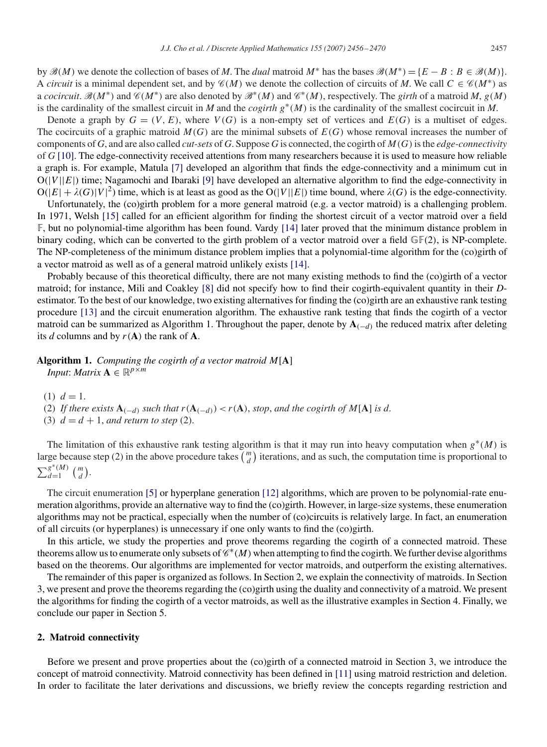by  $\mathcal{B}(M)$  we denote the collection of bases of *M*. The *dual* matroid  $M^*$  has the bases  $\mathcal{B}(M^*) = \{E - B : B \in \mathcal{B}(M)\}\$ . A *circuit* is a minimal dependent set, and by  $\mathcal{C}(M)$  we denote the collection of circuits of M. We call  $C \in \mathcal{C}(M^*)$  as a *cocircuit*.  $\mathcal{B}(M^*)$  and  $\mathcal{C}(M^*)$  are also denoted by  $\mathcal{B}^*(M)$  and  $\mathcal{C}^*(M)$ , respectively. The *girth* of a matroid M,  $g(M)$ is the cardinality of the smallest circuit in *M* and the *cogirth*  $g^*(M)$  is the cardinality of the smallest cocircuit in *M*.

Denote a graph by  $G = (V, E)$ , where  $V(G)$  is a non-empty set of vertices and  $E(G)$  is a multiset of edges. The cocircuits of a graphic matroid  $M(G)$  are the minimal subsets of  $E(G)$  whose removal increases the number of components of *G*, and are also called *cut-sets* of *G*. Suppose *G* is connected, the cogirth of M(G)is the *edge-connectivity* of *G* [\[10\].](#page-14-0) The edge-connectivity received attentions from many researchers because it is used to measure how reliable a graph is. For example, Matula [\[7\]](#page-14-0) developed an algorithm that finds the edge-connectivity and a minimum cut in  $O(|V||E|)$  time; Nagamochi and Ibaraki [\[9\]](#page-14-0) have developed an alternative algorithm to find the edge-connectivity in  $O(|E| + \lambda(G)|V|^2)$  time, which is at least as good as the  $O(|V||E|)$  time bound, where  $\lambda(G)$  is the edge-connectivity.

Unfortunately, the (co)girth problem for a more general matroid (e.g. a vector matroid) is a challenging problem. In 1971, Welsh [\[15\]](#page-14-0) called for an efficient algorithm for finding the shortest circuit of a vector matroid over a field F, but no polynomial-time algorithm has been found. Vardy [\[14\]](#page-14-0) later proved that the minimum distance problem in binary coding, which can be converted to the girth problem of a vector matroid over a field  $\mathbb{GF}(2)$ , is NP-complete. The NP-completeness of the minimum distance problem implies that a polynomial-time algorithm for the (co)girth of a vector matroid as well as of a general matroid unlikely exists [\[14\].](#page-14-0)

Probably because of this theoretical difficulty, there are not many existing methods to find the (co)girth of a vector matroid; for instance, Mili and Coakley [\[8\]](#page-14-0) did not specify how to find their cogirth-equivalent quantity in their *D*estimator. To the best of our knowledge, two existing alternatives for finding the (co)girth are an exhaustive rank testing procedure [\[13\]](#page-14-0) and the circuit enumeration algorithm. The exhaustive rank testing that finds the cogirth of a vector matroid can be summarized as Algorithm 1. Throughout the paper, denote by  $A_{(-d)}$  the reduced matrix after deleting its *d* columns and by  $r(A)$  the rank of **A**.

# **Algorithm 1.** *Computing the cogirth of a vector matroid* M[**A**] *Input*: *Matrix*  $\mathbf{A} \in \mathbb{R}^{p \times m}$

- (1)  $d = 1$ .
- (2) If there exists  $\mathbf{A}_{(-d)}$  such that  $r(\mathbf{A}_{(-d)}) < r(\mathbf{A})$ , stop, and the cogirth of M[A] is d.
- (3)  $d = d + 1$ , *and return to step* (2).

The limitation of this exhaustive rank testing algorithm is that it may run into heavy computation when  $g^*(M)$  is large because step (2) in the above procedure takes  $\binom{m}{d}$  $\binom{m}{d}$  iterations, and as such, the computation time is proportional to  $\sum_{d=1}^{g^*(M)} \binom{m}{d}$  $\binom{m}{d}$ .

The circuit enumeration [\[5\]](#page-14-0) or hyperplane generation [\[12\]](#page-14-0) algorithms, which are proven to be polynomial-rate enumeration algorithms, provide an alternative way to find the (co)girth. However, in large-size systems, these enumeration algorithms may not be practical, especially when the number of (co)circuits is relatively large. In fact, an enumeration of all circuits (or hyperplanes) is unnecessary if one only wants to find the (co)girth.

In this article, we study the properties and prove theorems regarding the cogirth of a connected matroid. These theorems allow us to enumerate only subsets of  $\mathscr{C}*(M)$  when attempting to find the cogirth. We further devise algorithms based on the theorems. Our algorithms are implemented for vector matroids, and outperform the existing alternatives.

The remainder of this paper is organized as follows. In Section 2, we explain the connectivity of matroids. In Section 3, we present and prove the theorems regarding the (co)girth using the duality and connectivity of a matroid. We present the algorithms for finding the cogirth of a vector matroids, as well as the illustrative examples in Section 4. Finally, we conclude our paper in Section 5.

## **2. Matroid connectivity**

Before we present and prove properties about the (co)girth of a connected matroid in Section 3, we introduce the concept of matroid connectivity. Matroid connectivity has been defined in [\[11\]](#page-14-0) using matroid restriction and deletion. In order to facilitate the later derivations and discussions, we briefly review the concepts regarding restriction and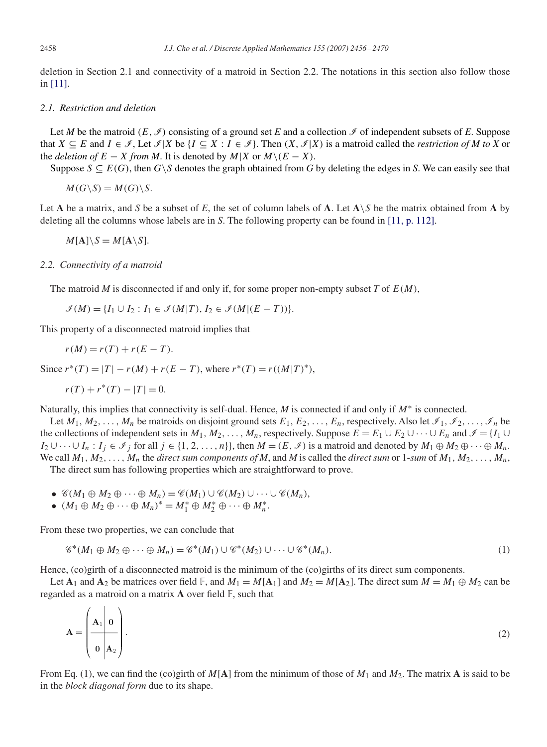deletion in Section 2.1 and connectivity of a matroid in Section 2.2. The notations in this section also follow those in [\[11\].](#page-14-0)

# *2.1. Restriction and deletion*

Let *M* be the matroid  $(E, \mathcal{I})$  consisting of a ground set *E* and a collection  $\mathcal{I}$  of independent subsets of *E*. Suppose that  $X \subseteq E$  and  $I \in \mathcal{I}$ , Let  $\mathcal{I} | X$  be  $\{I \subseteq X : I \in \mathcal{I}\}\$ . Then  $(X, \mathcal{I} | X)$  is a matroid called the *restriction of M to X* or the *deletion of*  $E - X$  *from M*. It is denoted by  $M|X$  or  $M \setminus (E - X)$ .

Suppose  $S \subseteq E(G)$ , then  $G \setminus S$  denotes the graph obtained from G by deleting the edges in S. We can easily see that

 $M(G\backslash S) = M(G)\backslash S$ .

Let **A** be a matrix, and *S* be a subset of *E*, the set of column labels of **A**. Let  $A \setminus S$  be the matrix obtained from **A** by deleting all the columns whose labels are in *S*. The following property can be found in [\[11, p. 112\].](#page-14-0)

$$
M[\mathbf{A}]\backslash S = M[\mathbf{A}\backslash S].
$$

### *2.2. Connectivity of a matroid*

The matroid *M* is disconnected if and only if, for some proper non-empty subset *T* of  $E(M)$ ,

$$
\mathcal{I}(M) = \{I_1 \cup I_2 : I_1 \in \mathcal{I}(M|T), I_2 \in \mathcal{I}(M|(E-T))\}.
$$

This property of a disconnected matroid implies that

$$
r(M) = r(T) + r(E - T).
$$

Since  $r^*(T) = |T| - r(M) + r(E - T)$ , where  $r^*(T) = r((M|T)^*)$ ,

$$
r(T) + r^*(T) - |T| = 0.
$$

Naturally, this implies that connectivity is self-dual. Hence, *M* is connected if and only if *M*<sup>∗</sup> is connected.

Let  $M_1, M_2, \ldots, M_n$  be matroids on disjoint ground sets  $E_1, E_2, \ldots, E_n$ , respectively. Also let  $\mathcal{I}_1, \mathcal{I}_2, \ldots, \mathcal{I}_n$  be the collections of independent sets in  $M_1, M_2, \ldots, M_n$ , respectively. Suppose  $E = E_1 \cup E_2 \cup \cdots \cup E_n$  and  $\mathscr{I} = \{I_1 \cup I_2 \}$  $I_2 \cup \cdots \cup I_n : I_j \in \mathcal{I}_j$  for all  $j \in \{1, 2, \ldots, n\}$ , then  $M = (E, \mathcal{I})$  is a matroid and denoted by  $M_1 \oplus M_2 \oplus \cdots \oplus M_n$ . We call  $M_1, M_2, \ldots, M_n$  the *direct sum components of M*, and M is called the *direct sum* or 1-*sum* of  $M_1, M_2, \ldots, M_n$ , The direct sum has following properties which are straightforward to prove.

- $\mathscr{C}(M_1 \oplus M_2 \oplus \cdots \oplus M_n) = \mathscr{C}(M_1) \cup \mathscr{C}(M_2) \cup \cdots \cup \mathscr{C}(M_n),$
- $(M_1 \oplus M_2 \oplus \cdots \oplus M_n)^* = M_1^* \oplus M_2^* \oplus \cdots \oplus M_n^*$ .

From these two properties, we can conclude that

 $\lambda$   $\lambda$ 

$$
\mathscr{C}^*(M_1 \oplus M_2 \oplus \cdots \oplus M_n) = \mathscr{C}^*(M_1) \cup \mathscr{C}^*(M_2) \cup \cdots \cup \mathscr{C}^*(M_n).
$$
\n
$$
(1)
$$

Hence, (co)girth of a disconnected matroid is the minimum of the (co)girths of its direct sum components.

Let  $\mathbf{A}_1$  and  $\mathbf{A}_2$  be matrices over field  $\mathbb{F}$ , and  $M_1 = M[\mathbf{A}_1]$  and  $M_2 = M[\mathbf{A}_2]$ . The direct sum  $M = M_1 \oplus M_2$  can be regarded as a matroid on a matrix **A** over field F, such that

$$
\mathbf{A} = \begin{pmatrix} \mathbf{A}_1 & \mathbf{0} \\ \mathbf{0} & \mathbf{A}_2 \end{pmatrix} . \tag{2}
$$

From Eq. (1), we can find the (co)girth of  $M[A]$  from the minimum of those of  $M_1$  and  $M_2$ . The matrix **A** is said to be in the *block diagonal form* due to its shape.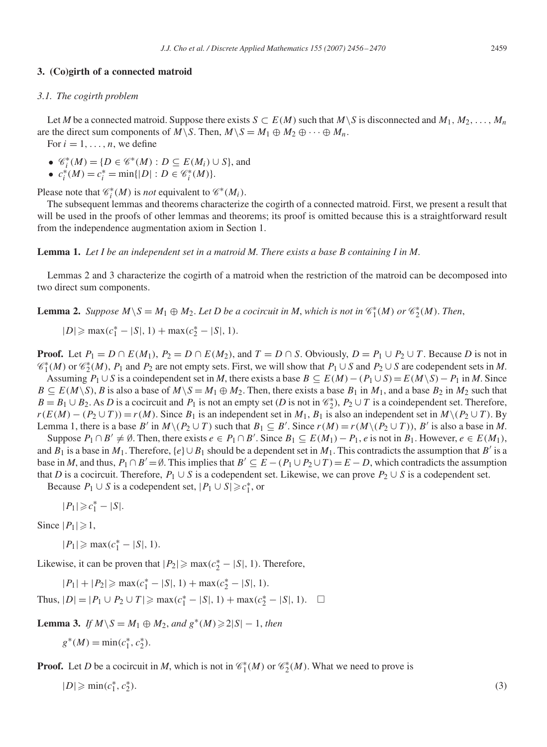## **3. (Co)girth of a connected matroid**

#### *3.1. The cogirth problem*

Let *M* be a connected matroid. Suppose there exists  $S \subset E(M)$  such that  $M \setminus S$  is disconnected and  $M_1, M_2, \ldots, M_n$ are the direct sum components of  $M\backslash S$ . Then,  $M\backslash S = M_1 \oplus M_2 \oplus \cdots \oplus M_n$ .

For  $i = 1, \ldots, n$ , we define

- $\mathcal{C}_i^*(M) = \{ D \in \mathcal{C}^*(M) : D \subseteq E(M_i) \cup S \}$ , and
- $c_i^*(M) = c_i^* = \min\{|D| : D \in \mathcal{C}_i^*(M)\}.$

Please note that  $\mathcal{C}_i^*(M)$  is *not* equivalent to  $\mathcal{C}^*(M_i)$ .

The subsequent lemmas and theorems characterize the cogirth of a connected matroid. First, we present a result that will be used in the proofs of other lemmas and theorems; its proof is omitted because this is a straightforward result from the independence augmentation axiom in Section 1.

**Lemma 1.** *Let I be an independent set in a matroid M. There exists a base B containing I in M*.

Lemmas 2 and 3 characterize the cogirth of a matroid when the restriction of the matroid can be decomposed into two direct sum components.

**Lemma 2.** *Suppose*  $M \ S = M_1 \oplus M_2$ . *Let D be a cocircuit in M, which is not in*  $\mathcal{C}_1^*(M)$  *or*  $\mathcal{C}_2^*(M)$ *. Then,* 

$$
|D| \ge \max(c_1^* - |S|, 1) + \max(c_2^* - |S|, 1).
$$

**Proof.** Let  $P_1 = D \cap E(M_1), P_2 = D \cap E(M_2)$ , and  $T = D \cap S$ . Obviously,  $D = P_1 \cup P_2 \cup T$ . Because *D* is not in  $\mathcal{C}_1^*(M)$  or  $\mathcal{C}_2^*(M)$ ,  $P_1$  and  $P_2$  are not empty sets. First, we will show that  $P_1 \cup S$  and  $P_2 \cup S$  are codependent sets in M.

Assuming  $P_1 \cup S$  is a coindependent set in *M*, there exists a base  $B \subseteq E(M) - (P_1 \cup S) = E(M\setminus S) - P_1$  in *M*. Since  $B \subseteq E(M\setminus S)$ , *B* is also a base of  $M\setminus S = M_1 \oplus M_2$ . Then, there exists a base  $B_1$  in  $M_1$ , and a base  $B_2$  in  $M_2$  such that  $B = B_1 \cup B_2$ . As *D* is a cocircuit and  $P_1$  is not an empty set (*D* is not in  $\mathcal{C}_2^*$ ),  $P_2 \cup T$  is a coindependent set. Therefore,  $r(E(M) - (P_2 \cup T)) = r(M)$ . Since  $B_1$  is an independent set in  $M_1$ ,  $B_1$  is also an independent set in  $M \setminus (P_2 \cup T)$ . By Lemma 1, there is a base B' in  $M\setminus (P_2\cup T)$  such that  $B_1\subseteq B'$ . Since  $r(M) = r(M\setminus (P_2\cup T))$ , B' is also a base in M.

Suppose  $P_1 \cap B' \neq \emptyset$ . Then, there exists  $e \in P_1 \cap B'$ . Since  $B_1 \subseteq E(M_1) - P_1$ , *e* is not in  $B_1$ . However,  $e \in E(M_1)$ , and  $B_1$  is a base in  $M_1$ . Therefore,  $\{e\} \cup B_1$  should be a dependent set in  $M_1$ . This contradicts the assumption that  $B'$  is a base in *M*, and thus,  $P_1 \cap B' = \emptyset$ . This implies that  $B' \subseteq E - (P_1 \cup P_2 \cup T) = E - D$ , which contradicts the assumption that *D* is a cocircuit. Therefore,  $P_1 \cup S$  is a codependent set. Likewise, we can prove  $P_2 \cup S$  is a codependent set. Because  $P_1 \cup S$  is a codependent set,  $|P_1 \cup S| \ge c_1^*$ , or

 $|P_1| \geq c_1^* - |S|.$ 

Since  $|P_1| \geq 1$ ,

 $|P_1| \ge \max(c_1^* - |S|, 1).$ 

Likewise, it can be proven that  $|P_2| \ge \max(c_2^* - |S|, 1)$ . Therefore,

 $|P_1| + |P_2| \ge \max(c_1^* - |S|, 1) + \max(c_2^* - |S|, 1).$ 

Thus,  $|D| = |P_1 \cup P_2 \cup T| \ge \max(c_1^* - |S|, 1) + \max(c_2^* - |S|, 1).$   $\Box$ 

**Lemma 3.** *If*  $M \ S = M_1 \oplus M_2$ , *and*  $g^*(M) \ge 2|S| - 1$ , *then* 

$$
g^*(M) = \min(c_1^*, c_2^*).
$$

**Proof.** Let *D* be a cocircuit in *M*, which is not in  $\mathcal{C}_1^*(M)$  or  $\mathcal{C}_2^*(M)$ . What we need to prove is

 $|D| \geqslant \min(c_1^*, c_2^*)$  $_{2}^{*}$ ). (3)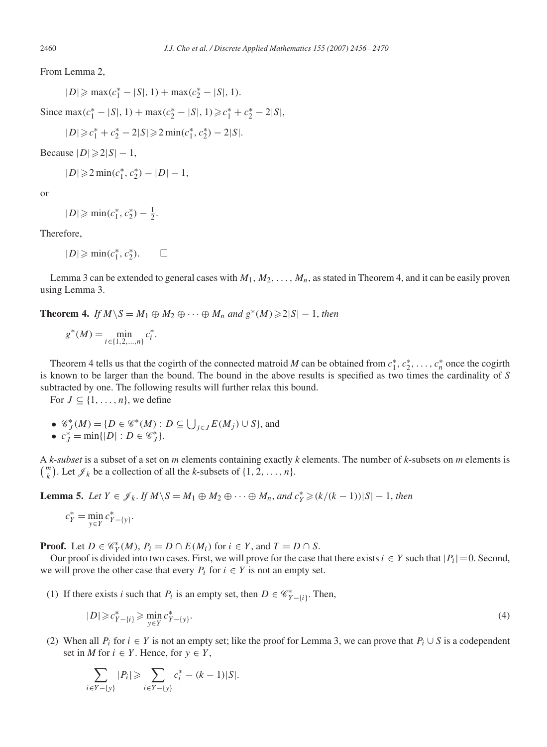From Lemma 2,

 $|D| \ge \max(c_1^* - |S|, 1) + \max(c_2^* - |S|, 1).$ 

Since max $(c_1^* - |S|, 1) + \max(c_2^* - |S|, 1) \ge c_1^* + c_2^* - 2|S|$ ,

$$
|D| \geqslant c_1^* + c_2^* - 2|S| \geqslant 2\min(c_1^*, c_2^*) - 2|S|.
$$

Because  $|D| \geq 2|S| - 1$ ,

 $|D| \geq 2 \min(c_1^*, c_2^*) - |D| - 1,$ 

or

 $|D| \geqslant \min(c_1^*, c_2^*) - \frac{1}{2}.$ 

Therefore,

$$
|D| \geqslant \min(c_1^*, c_2^*).
$$

Lemma 3 can be extended to general cases with  $M_1, M_2, \ldots, M_n$ , as stated in Theorem 4, and it can be easily proven using Lemma 3.

**Theorem 4.** *If*  $M \setminus S = M_1 \oplus M_2 \oplus \cdots \oplus M_n$  and  $g^*(M) \geq 2|S|-1$ , then

$$
g^*(M) = \min_{i \in \{1, 2, \dots, n\}} c_i^*.
$$

Theorem 4 tells us that the cogirth of the connected matroid *M* can be obtained from  $c_1^*, c_2^*, \ldots, c_n^*$  once the cogirth is known to be larger than the bound. The bound in the above results is specified as two times the cardinality of *S* subtracted by one. The following results will further relax this bound.

For  $J \subseteq \{1, \ldots, n\}$ , we define

- $\mathcal{C}_J^*(M) = \{D \in \mathcal{C}^*(M) : D \subseteq \bigcup_{j \in J} E(M_j) \cup S\}$ , and
- $c_J^* = \min\{|D| : D \in \mathscr{C}_J^*\}.$

A *k-subset* is a subset of a set on *m* elements containing exactly *k* elements. The number of *k*-subsets on *m* elements is  $\binom{m}{k}$  $\mathbb{R}^n$ ). Let  $\mathscr{J}_k$  be a collection of all the *k*-subsets of  $\{1, 2, ..., n\}$ .

**Lemma 5.** *Let*  $Y \in \mathscr{J}_k$ *. If*  $M \setminus S = M_1 \oplus M_2 \oplus \cdots \oplus M_n$ *, and*  $c_Y^* \geq (k/(k-1))|S|-1$ *, then* 

$$
c_Y^* = \min_{y \in Y} c_{Y - \{y\}}^*.
$$

**Proof.** Let  $D \in \mathcal{C}_Y^*(M)$ ,  $P_i = D \cap E(M_i)$  for  $i \in Y$ , and  $T = D \cap S$ .

Our proof is divided into two cases. First, we will prove for the case that there exists  $i \in Y$  such that  $|P_i| = 0$ . Second, we will prove the other case that every  $P_i$  for  $i \in Y$  is not an empty set.

(1) If there exists *i* such that  $P_i$  is an empty set, then  $D \in \mathcal{C}_{Y-\{i\}}^*$ . Then,

$$
|D| \geqslant c_{Y - \{i\}}^* \geqslant \min_{y \in Y} c_{Y - \{y\}}^*.
$$
\n
$$
(4)
$$

(2) When all  $P_i$  for  $i \in Y$  is not an empty set; like the proof for Lemma 3, we can prove that  $P_i \cup S$  is a codependent set in *M* for  $i \in Y$ . Hence, for  $y \in Y$ ,

$$
\sum_{i \in Y - \{y\}} |P_i| \geqslant \sum_{i \in Y - \{y\}} c_i^* - (k - 1)|S|.
$$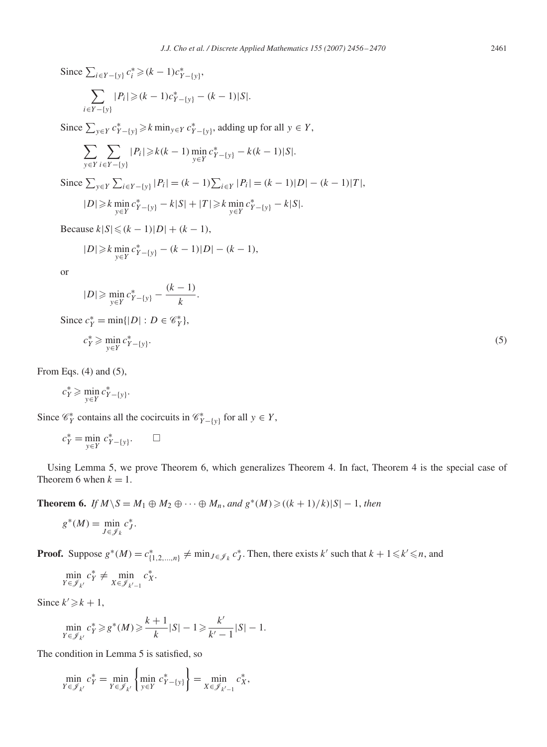Since  $\sum_{i \in Y - \{y\}} c_i^* \ge (k-1)c_{Y-\{y\}}^*$ ,  $\sum$ i∈Y−{y}  $|P_i| \geq (k-1)c^*_{Y-\{y\}} - (k-1)|S|.$ Since  $\sum_{y \in Y} c^*_{Y - \{y\}} \ge k \min_{y \in Y} c^*_{Y - \{y\}}$ , adding up for all  $y \in Y$ ,  $\sum_{y \in Y} \sum_{y \in Y} |P_i| \ge k(k-1) \min_{y \in Y} c_{Y-\{y\}}^* - k(k-1)|S|.$ 

$$
\begin{aligned} \text{Since } \sum_{y \in Y} \sum_{i \in Y - \{y\}} |P_i| = (k-1) \sum_{i \in Y} |P_i| = (k-1)|D| - (k-1)|T|, \\ |D| \ge k \min_{y \in Y} c_{Y - \{y\}}^* - k|S| + |T| \ge k \min_{y \in Y} c_{Y - \{y\}}^* - k|S|. \end{aligned}
$$

Because  $k|S| \le (k-1)|D| + (k-1)$ ,

$$
|D| \geq k \min_{y \in Y} c_{Y - \{y\}}^* - (k - 1)|D| - (k - 1),
$$

or

$$
|D| \ge \min_{y \in Y} c_{Y - \{y\}}^{*} - \frac{(k-1)}{k}.
$$
  
Since  $c_{Y}^{*} = \min\{|D| : D \in \mathcal{C}_{Y}^{*}\},$   
 $c_{Y}^{*} \ge \min_{y \in Y} c_{Y - \{y\}}^{*}.$  (5)

From Eqs. (4) and (5),

$$
c_Y^* \ge \min_{y \in Y} c_{Y - \{y\}}^*.
$$

Since  $\mathcal{C}_Y^*$  contains all the cocircuits in  $\mathcal{C}_{Y-\{y\}}^*$  for all  $y \in Y$ ,

$$
c_Y^* = \min_{y \in Y} c_{Y - \{y\}}^*.
$$

Using Lemma 5, we prove Theorem 6, which generalizes Theorem 4. In fact, Theorem 4 is the special case of Theorem 6 when  $k = 1$ .

**Theorem 6.** *If*  $M \setminus S = M_1 \oplus M_2 \oplus \cdots \oplus M_n$ , and  $g^*(M) \geqslant ((k + 1)/k) |S| - 1$ , then

$$
g^*(M) = \min_{J \in \mathscr{J}_k} c_J^*.
$$

**Proof.** Suppose  $g^*(M) = c^*_{\{1,2,\dots,n\}} \neq \min_{J \in \mathcal{J}_k} c^*_J$ . Then, there exists k' such that  $k + 1 \leq k' \leq n$ , and

$$
\min_{Y \in \mathscr{J}_{k'}} c_Y^* \neq \min_{X \in \mathscr{J}_{k'-1}} c_X^*.
$$

Since  $k' \geq k + 1$ ,

$$
\min_{Y \in \mathscr{J}_{k'}} c_Y^* \ge g^*(M) \ge \frac{k+1}{k} |S| - 1 \ge \frac{k'}{k'-1} |S| - 1.
$$

The condition in Lemma 5 is satisfied, so

$$
\min_{Y \in \mathscr{J}_{k'}} c_Y^* = \min_{Y \in \mathscr{J}_{k'}} \left\{ \min_{y \in Y} c_{Y - \{y\}}^* \right\} = \min_{X \in \mathscr{J}_{k'-1}} c_X^*,
$$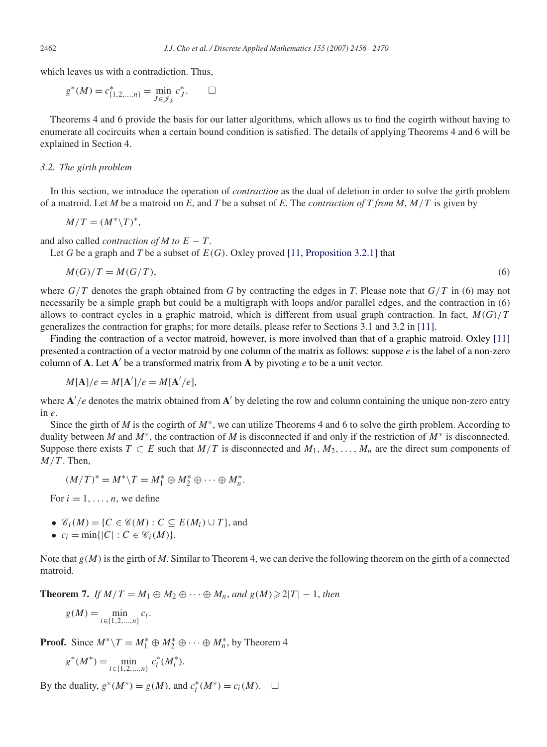which leaves us with a contradiction. Thus,

$$
g^*(M) = c^*_{\{1,2,\dots,n\}} = \min_{J \in \mathscr{J}_k} c^*_{J}.\qquad \Box
$$

Theorems 4 and 6 provide the basis for our latter algorithms, which allows us to find the cogirth without having to enumerate all cocircuits when a certain bound condition is satisfied. The details of applying Theorems 4 and 6 will be explained in Section 4.

## *3.2. The girth problem*

In this section, we introduce the operation of *contraction* as the dual of deletion in order to solve the girth problem of a matroid. Let *M* be a matroid on *E*, and *T* be a subset of *E*. The *contraction of T from M*, M/T is given by

$$
M/T = (M^*\backslash T)^*,
$$

and also called *contraction of M to*  $E - T$ .

Let *G* be a graph and *T* be a subset of  $E(G)$ . Oxley proved [\[11, Proposition 3.2.1\]](#page-14-0) that

$$
M(G)/T = M(G/T),\tag{6}
$$

where  $G/T$  denotes the graph obtained from G by contracting the edges in T. Please note that  $G/T$  in (6) may not necessarily be a simple graph but could be a multigraph with loops and/or parallel edges, and the contraction in (6) allows to contract cycles in a graphic matroid, which is different from usual graph contraction. In fact,  $M(G)/T$ generalizes the contraction for graphs; for more details, please refer to Sections 3.1 and 3.2 in [\[11\].](#page-14-0)

Finding the contraction of a vector matroid, however, is more involved than that of a graphic matroid. Oxley [\[11\]](#page-14-0) presented a contraction of a vector matroid by one column of the matrix as follows: suppose *e* is the label of a non-zero column of  $A$ . Let  $A'$  be a transformed matrix from  $A$  by pivoting  $e$  to be a unit vector.

$$
M[\mathbf{A}]/e = M[\mathbf{A}']/e = M[\mathbf{A}'/e],
$$

where  $A'/e$  denotes the matrix obtained from  $A'$  by deleting the row and column containing the unique non-zero entry in *e*.

Since the girth of *M* is the cogirth of M∗, we can utilize Theorems 4 and 6 to solve the girth problem. According to duality between *M* and M∗, the contraction of *M* is disconnected if and only if the restriction of M<sup>∗</sup> is disconnected. Suppose there exists  $T \subset E$  such that  $M/T$  is disconnected and  $M_1, M_2, \ldots, M_n$  are the direct sum components of  $M/T$ . Then,

$$
(M/T)^* = M^* \backslash T = M_1^* \oplus M_2^* \oplus \cdots \oplus M_n^*.
$$

For  $i = 1, \ldots, n$ , we define

- $\mathcal{C}_i(M) = \{C \in \mathcal{C}(M) : C \subseteq E(M_i) \cup T\}$ , and
- $c_i = \min\{|C| : C \in \mathcal{C}_i(M)\}.$

Note that g(M) is the girth of *M*. Similar to Theorem 4, we can derive the following theorem on the girth of a connected matroid.

**Theorem 7.** *If*  $M/T = M_1 \oplus M_2 \oplus \cdots \oplus M_n$ , and  $g(M) \geq 2|T| - 1$ , then

$$
g(M) = \min_{i \in \{1, 2, ..., n\}} c_i.
$$

**Proof.** Since  $M^* \setminus T = M_1^* \oplus M_2^* \oplus \cdots \oplus M_n^*$ , by Theorem 4

$$
g^*(M^*) = \min_{i \in \{1, 2, \dots, n\}} c_i^*(M_i^*).
$$

By the duality,  $g^*(M^*) = g(M)$ , and  $c_i^*(M^*) = c_i(M)$ .  $\Box$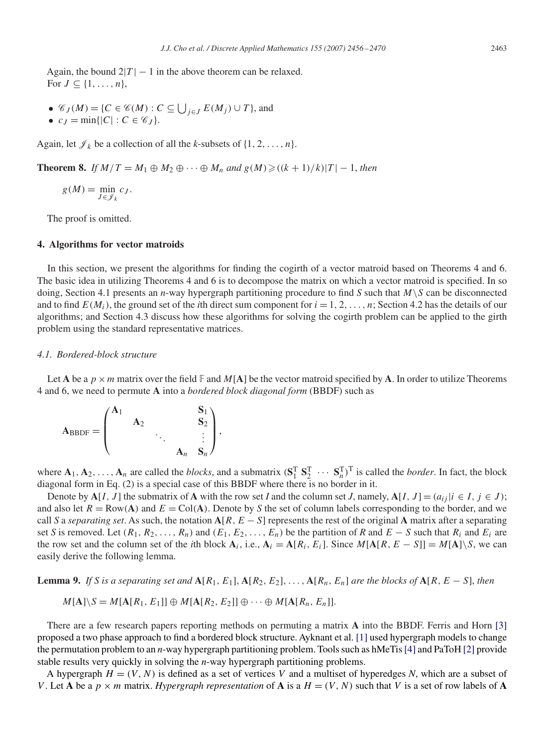Again, the bound  $2|T| - 1$  in the above theorem can be relaxed. For  $J \subseteq \{1, \ldots, n\},\$ 

- $\mathcal{C}_J(M) = \{C \in \mathcal{C}(M) : C \subseteq \bigcup_{j \in J} E(M_j) \cup T\}$ , and
- $c_J = \min\{|C| : C \in \mathscr{C}_J\}.$

Again, let  $\mathcal{J}_k$  be a collection of all the *k*-subsets of  $\{1, 2, ..., n\}$ .

**Theorem 8.** *If*  $M/T = M_1 \oplus M_2 \oplus \cdots \oplus M_n$  *and*  $g(M) \geqslant ((k+1)/k)|T| - 1$ , *then* 

$$
g(M) = \min_{J \in \mathscr{J}_k} c_J.
$$

The proof is omitted.

# **4. Algorithms for vector matroids**

In this section, we present the algorithms for finding the cogirth of a vector matroid based on Theorems 4 and 6. The basic idea in utilizing Theorems 4 and 6 is to decompose the matrix on which a vector matroid is specified. In so doing, Section 4.1 presents an *n*-way hypergraph partitioning procedure to find *S* such that  $M\setminus S$  can be disconnected and to find  $E(M_i)$ , the ground set of the *i*th direct sum component for  $i = 1, 2, ..., n$ ; Section 4.2 has the details of our algorithms; and Section 4.3 discuss how these algorithms for solving the cogirth problem can be applied to the girth problem using the standard representative matrices.

## *4.1. Bordered-block structure*

Let **A** be a  $p \times m$  matrix over the field  $\mathbb{F}$  and  $M[A]$  be the vector matroid specified by **A**. In order to utilize Theorems 4 and 6, we need to permute **A** into a *bordered block diagonal form* (BBDF) such as

$$
A_{\text{BBDF}} = \begin{pmatrix} A_1 & & & S_1 \\ & A_2 & & & S_2 \\ & & \ddots & & \vdots \\ & & & A_n & S_n \end{pmatrix},
$$

where  $\mathbf{A}_1, \mathbf{A}_2, \ldots, \mathbf{A}_n$  are called the *blocks*, and a submatrix  $(\mathbf{S}_1^T \ \mathbf{S}_2^T \ \cdots \ \mathbf{S}_n^T)^T$  is called the *border*. In fact, the block diagonal form in Eq. (2) is a special case of this BBDF where there is no border in it.

Denote by  $\mathbf{A}[I, J]$  the submatrix of  $\mathbf{A}$  with the row set *I* and the column set *J*, namely,  $\mathbf{A}[I, J] = (a_{ij} | i \in I, j \in J)$ ; and also let  $R = Row(A)$  and  $E = Col(A)$ . Denote by *S* the set of column labels corresponding to the border, and we call *S* a *separating set*. As such, the notation  $A[R, E - S]$  represents the rest of the original **A** matrix after a separating set *S* is removed. Let  $(R_1, R_2, \ldots, R_n)$  and  $(E_1, E_2, \ldots, E_n)$  be the partition of *R* and  $E - S$  such that  $R_i$  and  $E_i$  are the row set and the column set of the *i*th block  $A_i$ , i.e.,  $A_i = A[R_i, E_i]$ . Since  $M[A[R, E - S]] = M[A] \setminus S$ , we can easily derive the following lemma.

**Lemma 9.** *If S is a separating set and*  $\mathbf{A}[R_1, E_1], \mathbf{A}[R_2, E_2], \ldots, \mathbf{A}[R_n, E_n]$  *are the blocks of*  $\mathbf{A}[R, E - S]$ *, then* 

$$
M[A] \setminus S = M[A[R_1, E_1]] \oplus M[A[R_2, E_2]] \oplus \cdots \oplus M[A[R_n, E_n]].
$$

There are a few research papers reporting methods on permuting a matrix **A** into the BBDF. Ferris and Horn [\[3\]](#page-14-0) proposed a two phase approach to find a bordered block structure. Ayknant et al. [\[1\]](#page-14-0) used hypergraph models to change the permutation problem to an *n*-way hypergraph partitioning problem. Tools such as hMeTis[\[4\]](#page-14-0) and PaToH [\[2\]](#page-14-0) provide stable results very quickly in solving the *n*-way hypergraph partitioning problems.

A hypergraph  $H = (V, N)$  is defined as a set of vertices V and a multiset of hyperedges N, which are a subset of V. Let **A** be a  $p \times m$  matrix. *Hypergraph representation* of **A** is a  $H = (V, N)$  such that V is a set of row labels of **A**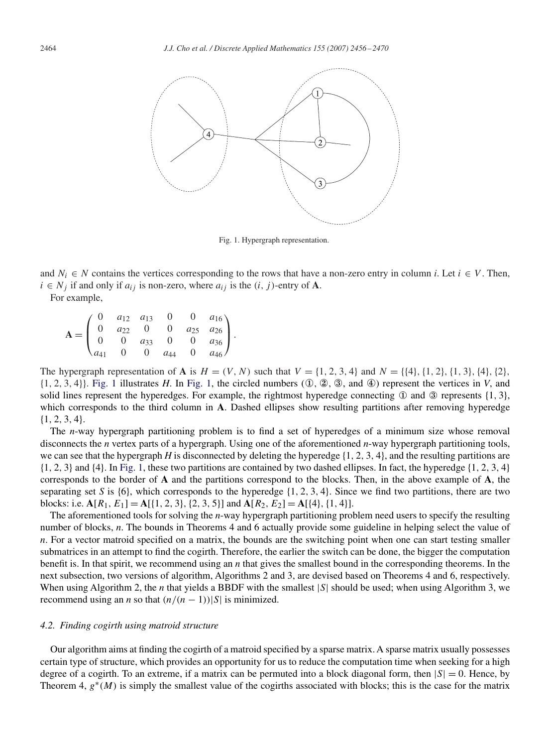

Fig. 1. Hypergraph representation.

and  $N_i \in N$  contains the vertices corresponding to the rows that have a non-zero entry in column *i*. Let  $i \in V$ . Then,  $i \in N_i$  if and only if  $a_{ij}$  is non-zero, where  $a_{ij}$  is the  $(i, j)$ -entry of **A**.

For example,

 $A =$  $\sqrt{2}$  $\overline{I}$ 0  $a_{12}$   $a_{13}$  0 0  $a_{16}$ 0  $a_{22}$  0 0  $a_{25}$   $a_{26}$ 0 0  $a_{33}$  0 0  $a_{36}$  $a_{41}$  0 0  $a_{44}$  0  $a_{46}$  $\setminus$  $\vert \cdot \vert$ 

The hypergraph representation of **A** is  $H = (V, N)$  such that  $V = \{1, 2, 3, 4\}$  and  $N = \{\{4\}, \{1, 2\}, \{1, 3\}, \{4\}, \{2\},\$  $\{1, 2, 3, 4\}$ . Fig. 1 illustrates *H*. In Fig. 1, the circled numbers  $(0, 2, 3, 4)$  represent the vertices in *V*, and solid lines represent the hyperedges. For example, the rightmost hyperedge connecting  $\Phi$  and  $\Phi$  represents {1, 3}, which corresponds to the third column in **A**. Dashed ellipses show resulting partitions after removing hyperedge {1, 2, 3, 4}.

The *n*-way hypergraph partitioning problem is to find a set of hyperedges of a minimum size whose removal disconnects the *n* vertex parts of a hypergraph. Using one of the aforementioned *n*-way hypergraph partitioning tools, we can see that the hypergraph *H* is disconnected by deleting the hyperedge  $\{1, 2, 3, 4\}$ , and the resulting partitions are  $\{1, 2, 3\}$  and  $\{4\}$ . In Fig. 1, these two partitions are contained by two dashed ellipses. In fact, the hyperedge  $\{1, 2, 3, 4\}$ corresponds to the border of **A** and the partitions correspond to the blocks. Then, in the above example of **A**, the separating set *S* is  $\{6\}$ , which corresponds to the hyperedge  $\{1, 2, 3, 4\}$ . Since we find two partitions, there are two blocks: i.e.  $A[R_1, E_1] = A[{1, 2, 3}, {2, 3, 5}]$  and  $A[R_2, E_2] = A[{4}, {1, 4}]$ .

The aforementioned tools for solving the *n*-way hypergraph partitioning problem need users to specify the resulting number of blocks, *n*. The bounds in Theorems 4 and 6 actually provide some guideline in helping select the value of *n*. For a vector matroid specified on a matrix, the bounds are the switching point when one can start testing smaller submatrices in an attempt to find the cogirth. Therefore, the earlier the switch can be done, the bigger the computation benefit is. In that spirit, we recommend using an *n* that gives the smallest bound in the corresponding theorems. In the next subsection, two versions of algorithm, Algorithms 2 and 3, are devised based on Theorems 4 and 6, respectively. When using Algorithm 2, the *n* that yields a BBDF with the smallest |S| should be used; when using Algorithm 3, we recommend using an *n* so that  $(n/(n-1))|S|$  is minimized.

### *4.2. Finding cogirth using matroid structure*

Our algorithm aims at finding the cogirth of a matroid specified by a sparse matrix. A sparse matrix usually possesses certain type of structure, which provides an opportunity for us to reduce the computation time when seeking for a high degree of a cogirth. To an extreme, if a matrix can be permuted into a block diagonal form, then  $|S| = 0$ . Hence, by Theorem 4,  $g^*(M)$  is simply the smallest value of the cogirths associated with blocks; this is the case for the matrix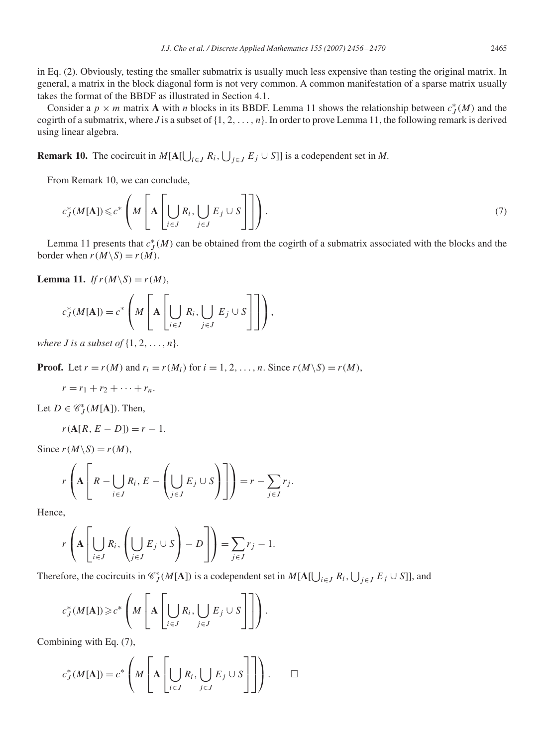in Eq. (2). Obviously, testing the smaller submatrix is usually much less expensive than testing the original matrix. In general, a matrix in the block diagonal form is not very common. A common manifestation of a sparse matrix usually takes the format of the BBDF as illustrated in Section 4.1.

Consider a  $p \times m$  matrix **A** with *n* blocks in its BBDF. Lemma 11 shows the relationship between  $c_J^*(M)$  and the cogirth of a submatrix, where *J* is a subset of  $\{1, 2, \ldots, n\}$ . In order to prove Lemma 11, the following remark is derived using linear algebra.

**Remark 10.** The cocircuit in  $M[A[\bigcup_{i \in J} R_i], \bigcup_{j \in J} E_j \cup S]]$  is a codependent set in *M*.

From Remark 10, we can conclude,

$$
c_J^*(M[\mathbf{A}]) \leq c^* \left( M \left[ \mathbf{A} \left[ \bigcup_{i \in J} R_i, \bigcup_{j \in J} E_j \cup S \right] \right] \right). \tag{7}
$$

Lemma 11 presents that  $c_J^*(M)$  can be obtained from the cogirth of a submatrix associated with the blocks and the border when  $r(M\setminus S) = r(M)$ .

**Lemma 11.** *If*  $r(M\setminus S) = r(M)$ ,

$$
c_J^*(M[\mathbf{A}]) = c^* \left( M \left[ \mathbf{A} \left[ \bigcup_{i \in J} R_i, \bigcup_{j \in J} E_j \cup S \right] \right] \right),
$$

*where J is a subset of*  $\{1, 2, \ldots, n\}$ .

**Proof.** Let  $r = r(M)$  and  $r_i = r(M_i)$  for  $i = 1, 2, ..., n$ . Since  $r(M \setminus S) = r(M)$ ,

$$
r=r_1+r_2+\cdots+r_n.
$$

Let  $D \in \mathcal{C}_J^*(M[A])$ . Then,

$$
r(A[R, E - D]) = r - 1.
$$

Since  $r(M\backslash S) = r(M)$ ,

$$
r\left(\mathbf{A}\left[R-\bigcup_{i\in J}R_i,E-\left(\bigcup_{j\in J}E_j\cup S\right)\right]\right)=r-\sum_{j\in J}r_j.
$$

Hence,

$$
r\left(\mathbf{A}\left[\bigcup_{i\in J}R_i,\left(\bigcup_{j\in J}E_j\cup S\right)-D\right]\right)=\sum_{j\in J}r_j-1.
$$

Therefore, the cocircuits in  $\mathcal{C}_J^*(M[A])$  is a codependent set in  $M[A[\bigcup_{i\in J} R_i, \bigcup_{j\in J} E_j \cup S]]$ , and

$$
c_J^*(M[\mathbf{A}]) \geq c^* \left( M \left[ \mathbf{A} \left[ \bigcup_{i \in J} R_i, \bigcup_{j \in J} E_j \cup S \right] \right] \right).
$$

Combining with Eq. (7),

$$
c_J^*(M[\mathbf{A}]) = c^* \left( M \left[ \mathbf{A} \left[ \bigcup_{i \in J} R_i, \bigcup_{j \in J} E_j \cup S \right] \right] \right). \qquad \Box
$$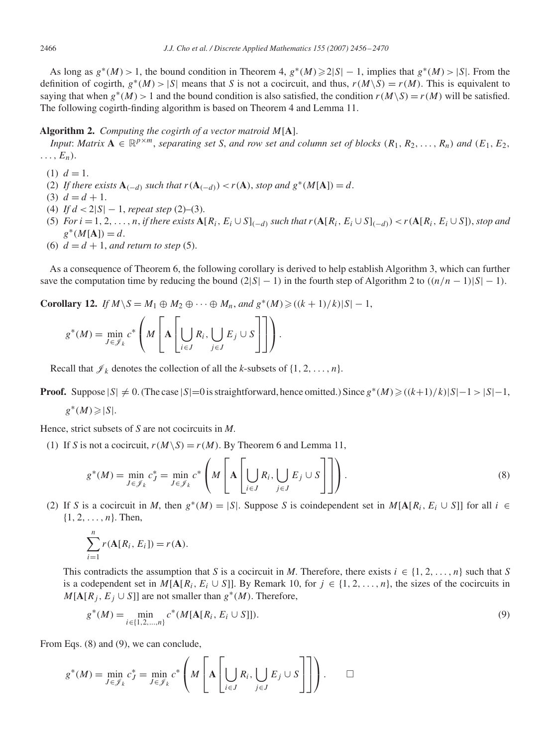As long as  $g^*(M) > 1$ , the bound condition in Theorem 4,  $g^*(M) \ge 2|S| - 1$ , implies that  $g^*(M) > |S|$ . From the definition of cogirth,  $g^*(M) > |S|$  means that *S* is not a cocircuit, and thus,  $r(M\setminus S) = r(M)$ . This is equivalent to saying that when  $g^*(M) > 1$  and the bound condition is also satisfied, the condition  $r(M\setminus S) = r(M)$  will be satisfied. The following cogirth-finding algorithm is based on Theorem 4 and Lemma 11.

## **Algorithm 2.** *Computing the cogirth of a vector matroid* M[**A**].

*Input*: *Matrix*  $\mathbf{A} \in \mathbb{R}^{p \times m}$ , *separating set S, and row set and column set of blocks*  $(R_1, R_2, \ldots, R_n)$  *and*  $(E_1, E_2, \ldots, E_n)$  $\ldots$ ,  $E_n$ ).

- (1)  $d = 1$ .
- (2) *If there exists*  $\mathbf{A}_{(-d)}$  *such that*  $r(\mathbf{A}_{(-d)}) < r(\mathbf{A})$ *, stop and*  $g^*(M[\mathbf{A}]) = d$ *.*
- (3)  $d = d + 1$ .
- (4) *If* d < 2|S| − 1, *repeat step* (2)–(3).
- (5) *For*  $i = 1, 2, \ldots, n$ , *if there exists*  $\mathbf{A}[R_i, E_i \cup S]_{(-d)}$  *such that*  $r(\mathbf{A}[R_i, E_i \cup S]_{(-d)}) < r(\mathbf{A}[R_i, E_i \cup S])$ , *stop and*  $g^*(M[A]) = d.$
- (6)  $d = d + 1$ , and return to step (5).

As a consequence of Theorem 6, the following corollary is derived to help establish Algorithm 3, which can further save the computation time by reducing the bound  $(2|S|-1)$  in the fourth step of Algorithm 2 to  $((n/n-1)|S|-1)$ .

**Corollary 12.** *If*  $M \setminus S = M_1 \oplus M_2 \oplus \cdots \oplus M_n$ , and  $g^*(M) \geq ((k+1)/k)|S|-1$ ,

$$
g^*(M) = \min_{J \in \mathscr{J}_k} c^* \left( M \left[ \mathbf{A} \left[ \bigcup_{i \in J} R_i, \bigcup_{j \in J} E_j \cup S \right] \right] \right).
$$

Recall that  $\mathcal{J}_k$  denotes the collection of all the *k*-subsets of  $\{1, 2, ..., n\}$ .

**Proof.** Suppose  $|S| \neq 0$ . (The case  $|S|=0$  is straightforward, hence omitted.) Since  $g^*(M) \geq ((k+1)/k)|S|-1 > |S|-1$ ,

$$
g^*(M) \geqslant |S|.
$$

Hence, strict subsets of *S* are not cocircuits in *M*.

(1) If *S* is not a cocircuit,  $r(M\setminus S) = r(M)$ . By Theorem 6 and Lemma 11,

$$
g^*(M) = \min_{J \in \mathcal{J}_k} c_J^* = \min_{J \in \mathcal{J}_k} c^* \left( M \left[ \mathbf{A} \left[ \bigcup_{i \in J} R_i, \bigcup_{j \in J} E_j \cup S \right] \right] \right).
$$
 (8)

(2) If *S* is a cocircuit in *M*, then  $g^*(M) = |S|$ . Suppose *S* is coindependent set in  $M[A[R_i, E_i \cup S]]$  for all  $i \in$  $\{1, 2, \ldots, n\}$ . Then,

$$
\sum_{i=1}^n r(\mathbf{A}[R_i, E_i]) = r(\mathbf{A}).
$$

This contradicts the assumption that *S* is a cocircuit in *M*. Therefore, there exists  $i \in \{1, 2, ..., n\}$  such that *S* is a codependent set in  $M[A[R_i, E_i \cup S]]$ . By Remark 10, for  $j \in \{1, 2, ..., n\}$ , the sizes of the cocircuits in  $M[A[R_i, E_j \cup S]]$  are not smaller than  $g^*(M)$ . Therefore,

$$
g^*(M) = \min_{i \in \{1, 2, \dots, n\}} c^*(M[\mathbf{A}[R_i, E_i \cup S]]).
$$
\n(9)

From Eqs. (8) and (9), we can conclude,

$$
g^*(M) = \min_{J \in \mathcal{J}_k} c_J^* = \min_{J \in \mathcal{J}_k} c^* \left( M \left[ \mathbf{A} \left[ \bigcup_{i \in J} R_i, \bigcup_{j \in J} E_j \cup S \right] \right] \right). \qquad \Box
$$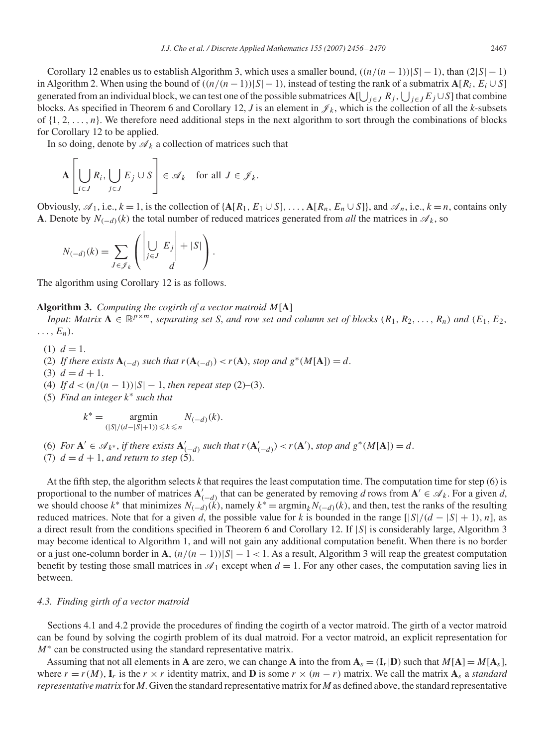Corollary 12 enables us to establish Algorithm 3, which uses a smaller bound,  $((n/(n-1))|S|-1)$ , than  $(2|S|-1)$ in Algorithm 2. When using the bound of  $((n/(n-1))|S|-1)$ , instead of testing the rank of a submatrix  $A[R_i, E_i \cup S]$ generated from an individual block, we can test one of the possible submatrices  $A[\bigcup_{j\in J}R_j,\bigcup_{j\in J}E_j\cup S]$  that combine blocks. As specified in Theorem 6 and Corollary 12, *J* is an element in  $\mathcal{J}_k$ , which is the collection of all the *k*-subsets of  $\{1, 2, \ldots, n\}$ . We therefore need additional steps in the next algorithm to sort through the combinations of blocks for Corollary 12 to be applied.

In so doing, denote by  $\mathcal{A}_k$  a collection of matrices such that

$$
\mathbf{A}\left[\bigcup_{i\in J}R_i,\bigcup_{j\in J}E_j\cup S\right]\in\mathscr{A}_k\quad\text{for all }J\in\mathscr{J}_k.
$$

Obviously,  $\mathscr{A}_1$ , i.e.,  $k = 1$ , is the collection of  $\{A[R_1, E_1 \cup S], \ldots, A[R_n, E_n \cup S]\}$ , and  $\mathscr{A}_n$ , i.e.,  $k = n$ , contains only **A**. Denote by  $N_{(-d)}(k)$  the total number of reduced matrices generated from *all* the matrices in  $\mathscr{A}_k$ , so

$$
N_{(-d)}(k) = \sum_{J \in \mathscr{J}_k} \left( \left| \bigcup_{j \in J} E_j \right| + |S| \right).
$$

The algorithm using Corollary 12 is as follows.

**Algorithm 3.** *Computing the cogirth of a vector matroid* M[**A**]

*Input*: *Matrix*  $\mathbf{A} \in \mathbb{R}^{p \times m}$ , *separating set S, and row set and column set of blocks*  $(R_1, R_2, \ldots, R_n)$  *and*  $(E_1, E_2, \ldots, E_n)$  $\ldots$ ,  $E_n$ ).

- (1)  $d = 1$ .
- (2) *If there exists*  $\mathbf{A}_{(-d)}$  *such that*  $r(\mathbf{A}_{(-d)}) < r(\mathbf{A})$ *, stop and*  $g^*(M[\mathbf{A}]) = d$ *.*
- (3)  $d = d + 1$ .
- (4) *If*  $d < (n/(n-1))|S| 1$ , *then repeat step* (2)–(3).
- (5) *Find an integer* k<sup>∗</sup> *such that*

$$
k^* = \operatorname*{argmin}_{(|S|/(d-|S|+1)) \le k \le n} N_{(-d)}(k).
$$

(6) *For*  $\mathbf{A}' \in \mathcal{A}_{k^*}$ , *if there exists*  $\mathbf{A}'_{(-d)}$  *such that*  $r(\mathbf{A}'_{(-d)}) < r(\mathbf{A}')$ *, stop and*  $g^*(M[\mathbf{A}]) = d$ *.* (7)  $d = d + 1$ , and return to step (5).

At the fifth step, the algorithm selects *k* that requires the least computation time. The computation time for step (6) is proportional to the number of matrices  $A'_{(-d)}$  that can be generated by removing *d* rows from  $A' \in \mathcal{A}_k$ . For a given *d*, we should choose  $k^*$  that minimizes  $N_{(-d)}(k)$ , namely  $k^* = \operatorname{argmin}_k N_{(-d)}(k)$ , and then, test the ranks of the resulting reduced matrices. Note that for a given *d*, the possible value for *k* is bounded in the range  $[|S|/(d - |S| + 1), n]$ , as a direct result from the conditions specified in Theorem 6 and Corollary 12. If |S| is considerably large, Algorithm 3 may become identical to Algorithm 1, and will not gain any additional computation benefit. When there is no border or a just one-column border in **A**,  $\left(\frac{n}{n-1}\right)|S| - 1 < 1$ . As a result, Algorithm 3 will reap the greatest computation benefit by testing those small matrices in  $\mathcal{A}_1$  except when  $d = 1$ . For any other cases, the computation saving lies in between.

#### *4.3. Finding girth of a vector matroid*

Sections 4.1 and 4.2 provide the procedures of finding the cogirth of a vector matroid. The girth of a vector matroid can be found by solving the cogirth problem of its dual matroid. For a vector matroid, an explicit representation for  $M^*$  can be constructed using the standard representative matrix.

Assuming that not all elements in **A** are zero, we can change **A** into the from  $A_s = (I_r|D)$  such that  $M[A] = M[A_s]$ , where  $r = r(M)$ ,  $\mathbf{I}_r$  is the  $r \times r$  identity matrix, and **D** is some  $r \times (m - r)$  matrix. We call the matrix  $\mathbf{A}_s$  a *standard representative matrix* for *M*. Given the standard representative matrix for *M* as defined above, the standard representative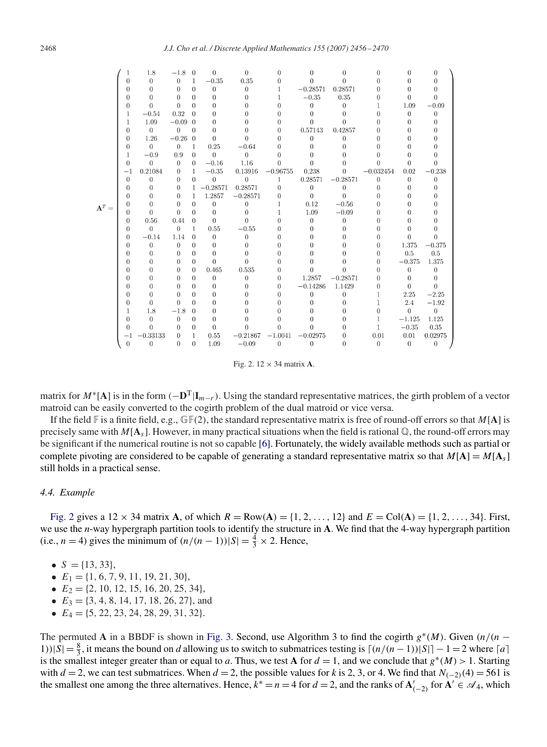|                  |                | 1.8          | $-1.8$         | $\theta$     | $\Omega$       | $\Omega$   | $\Omega$     | 0          | $\theta$     | 0            | 0              | ∩        |
|------------------|----------------|--------------|----------------|--------------|----------------|------------|--------------|------------|--------------|--------------|----------------|----------|
|                  | 0              | $\theta$     | $\theta$       | $\mathbf{1}$ | $-0.35$        | 0.35       | $\Omega$     | $\Omega$   | $\theta$     | Ü            | 0              | $\Omega$ |
|                  | 0              | $\theta$     | $\theta$       | $\theta$     | $\theta$       | $\theta$   | $\mathbf{1}$ | $-0.28571$ | 0.28571      | 0            | $\theta$       |          |
|                  | 0              | $\Omega$     | $\Omega$       | $\Omega$     | $\Omega$       | $\theta$   |              | $-0.35$    | 0.35         | 0            | $\Omega$       | 0        |
|                  | $\overline{0}$ | $\Omega$     | $\theta$       | $\Omega$     | $\Omega$       | $\theta$   | 0            | $\theta$   | $\mathbf{0}$ | 1            | 1.09           | $-0.09$  |
|                  | 1              | $-0.54$      | 0.32           | $\Omega$     | $\Omega$       | 0          | n            | 0          | $\theta$     | O            | $\Omega$       | $\theta$ |
|                  | 1              | 1.09         | $-0.09$ 0      |              | $\Omega$       | 0          | O            | $\Omega$   | 0            | O            | 0              | $\Omega$ |
|                  | 0              | $\Omega$     | $\theta$       | $\Omega$     | $\Omega$       | 0          | $\theta$     | 0.57143    | 0.42857      | 0            | $\theta$       |          |
|                  | 0              | 1.26         | $-0.26$ 0      |              | $\Omega$       | $\Omega$   | n            | $\theta$   | $\mathbf{0}$ | O            | 0              |          |
|                  | 0              | $\theta$     | $\theta$       | $\mathbf{1}$ | 0.25           | $-0.64$    | U            | U          | 0            | O            | $\Omega$       |          |
|                  | 1              | $-0.9$       | 0.9            | $\theta$     | $\Omega$       | $\theta$   | $\theta$     | 0          | 0            | 0            | 0              |          |
|                  | 0              | $\Omega$     | $\theta$       | $\Omega$     | $-0.16$        | 1.16       | $\Omega$     | $\theta$   | 0            | $\theta$     | $\Omega$       | $\Omega$ |
|                  | $^{-1}$        | 0.21084      | $\mathbf{0}$   | $\mathbf{1}$ | $-0.35$        | 0.13916    | $-0.96755$   | 0.238      | $\mathbf{0}$ | $-0.032454$  | 0.02           | $-0.238$ |
|                  | $\bf{0}$       | $\theta$     | $\Omega$       | $\Omega$     | $\theta$       | $\theta$   | 1            | 0.28571    | $-0.28571$   | $\theta$     | 0              | 0        |
|                  | 0              | $\theta$     | $\Omega$       |              | $1 - 0.28571$  | 0.28571    | $\Omega$     | $\theta$   | $\theta$     | $\theta$     | 0              | $\Omega$ |
|                  | Û              | $\Omega$     | $\Omega$       | $\mathbf{1}$ | 1.2857         | $-0.28571$ | $\Omega$     | $\Omega$   | $\Omega$     | 0            | $\Omega$       |          |
| $\mathbf{A}^T =$ | U              | $\theta$     | $\theta$       | $\Omega$     | $\overline{0}$ | $\theta$   | 1            | 0.12       | $-0.56$      | 0            | 0              |          |
|                  | 0              | $\theta$     | $\theta$       | $\Omega$     | $\theta$       | $\theta$   |              | 1.09       | $-0.09$      | 0            | 0              |          |
|                  | 0              | 0.56         | 0.44           | $\theta$     | $\Omega$       | $\theta$   | $\theta$     | $\Omega$   | $\theta$     | 0            | $\Omega$       |          |
|                  | 0              | $\Omega$     | $\overline{0}$ | $\mathbf{1}$ | 0.55           | $-0.55$    | $\theta$     | $\Omega$   | 0            | 0            | O              |          |
|                  | 0              | $-0.14$      | 1.14           | $\Omega$     | $\theta$       | $\Omega$   | 0            | 0          | 0            | 0            | $\theta$       | 0        |
|                  | 0              | $\theta$     | $\theta$       | $\Omega$     | $\theta$       | 0          | O            | O          | 0            | 0            | 1.375          | $-0.375$ |
|                  | 0              | $\Omega$     | $\theta$       | $\Omega$     | $\Omega$       | 0          |              | U          | 0            | 0            | 0.5            | 0.5      |
|                  | 0              | $\Omega$     | $\Omega$       | $\Omega$     | $\Omega$       | $\Omega$   |              | U          | 0            | 0            | $-0.375$       | 1.375    |
|                  | 0              | $\Omega$     | $\theta$       | $\Omega$     | 0.465          | 0.535      | 0            | $\Omega$   | $\Omega$     | 0            | $\overline{0}$ | $\Omega$ |
|                  | 0              | $\theta$     | $\theta$       | $\Omega$     | $\theta$       | $\theta$   | $\theta$     | 1.2857     | $-0.28571$   | 0            | $\theta$       | $\theta$ |
|                  | 0              | $\Omega$     | $\theta$       | $\Omega$     | $\theta$       | 0          | 0            | $-0.14286$ | 1.1429       | $\Omega$     | $\theta$       | $\Omega$ |
|                  | 0              | $\Omega$     | $\Omega$       | 0            | 0              | 0          | 0            | 0          | $\Omega$     | 1            | 2.25           | $-2.25$  |
|                  | 0              | $\Omega$     | $\Omega$       | 0            | $\Omega$       | 0          | ∩            | $\Omega$   | $\Omega$     | 1            | 2.4            | $-1.92$  |
|                  |                | 1.8          | $-1.8$         | $\Omega$     | $\Omega$       | O          |              | O          | 0            | $\Omega$     | $\theta$       | $\theta$ |
|                  | 0              | $\mathbf{0}$ | $\mathbf{0}$   | $\Omega$     | $\Omega$       | 0          |              | U          | $\Omega$     | 1            | $-1.125$       | 1.125    |
|                  | 0              | $\Omega$     | $\Omega$       | $\Omega$     | $\theta$       | $\Omega$   | $\Omega$     | $\Omega$   | 0            | $\mathbf{1}$ | $-0.35$        | 0.35     |
|                  | -1             | $-0.33133$   | $\overline{0}$ | $\mathbf{1}$ | 0.55           | $-0.21867$ | $-1.0041$    | $-0.02975$ | $\mathbf{0}$ | 0.01         | 0.01           | 0.02975  |
|                  | $\theta$       | $\Omega$     | $\theta$       | $\Omega$     | 1.09           | $-0.09$    | $\theta$     | $\theta$   | $\theta$     | $\Omega$     | $\theta$       | $\theta$ |
|                  |                |              |                |              |                |            |              |            |              |              |                |          |

Fig. 2. 12 × 34 matrix **A**.

matrix for  $M^*$ [**A**] is in the form  $(-D^T|I_{m-r})$ . Using the standard representative matrices, the girth problem of a vector matroid can be easily converted to the cogirth problem of the dual matroid or vice versa.

If the field  $\mathbb F$  is a finite field, e.g.,  $\mathbb F(2)$ , the standard representative matrix is free of round-off errors so that  $M[A]$  is precisely same with  $M[A_s]$ . However, in many practical situations when the field is rational  $\mathbb Q$ , the round-off errors may be significant if the numerical routine is not so capable [\[6\].](#page-14-0) Fortunately, the widely available methods such as partial or complete pivoting are considered to be capable of generating a standard representative matrix so that  $M[A] = M[A_s]$ still holds in a practical sense.

#### *4.4. Example*

Fig. 2 gives a  $12 \times 34$  matrix **A**, of which  $R = Row(A) = \{1, 2, ..., 12\}$  and  $E = Col(A) = \{1, 2, ..., 34\}$ . First, we use the *n*-way hypergraph partition tools to identify the structure in **A**. We find that the 4-way hypergraph partition (i.e., *n* = 4) gives the minimum of  $\left(\frac{n}{n-1}\right)|S| = \frac{4}{3} \times 2$ . Hence,

- $S = \{13, 33\},\$
- $E_1 = \{1, 6, 7, 9, 11, 19, 21, 30\},\$
- $E_2 = \{2, 10, 12, 15, 16, 20, 25, 34\},\$
- $E_3 = \{3, 4, 8, 14, 17, 18, 26, 27\}$ , and
- $E_4 = \{5, 22, 23, 24, 28, 29, 31, 32\}.$

The permuted **A** in a BBDF is shown in [Fig. 3.](#page-13-0) Second, use Algorithm 3 to find the cogirth  $g^*(M)$ . Given  $(n/(n - 1))$ 1))|S| =  $\frac{8}{3}$ , it means the bound on *d* allowing us to switch to submatrices testing is  $\lceil (n/(n-1))|S| \rceil - 1 = 2$  where  $\lceil a \rceil$ is the smallest integer greater than or equal to *a*. Thus, we test **A** for  $d = 1$ , and we conclude that  $g^*(M) > 1$ . Starting with  $d = 2$ , we can test submatrices. When  $d = 2$ , the possible values for k is 2, 3, or 4. We find that  $N_{(-2)}(4) = 561$  is the smallest one among the three alternatives. Hence,  $k^* = n = 4$  for  $d = 2$ , and the ranks of  $A'_{(-2)}$  for  $A' \in \mathcal{A}_4$ , which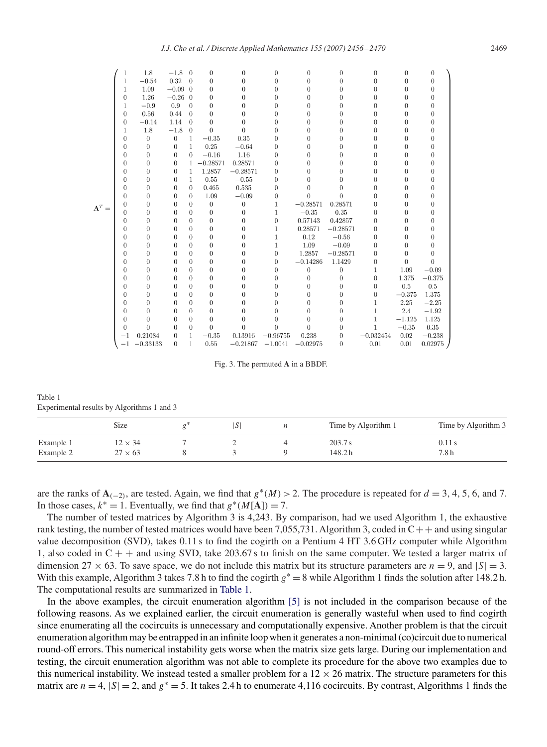<span id="page-13-0"></span>

|                  |                | 1.8            | $-1.8$           | $\overline{0}$ | $\overline{0}$ | $\boldsymbol{0}$ | $\overline{0}$   | 0              | 0                | 0                | $\overline{0}$ | 0        |
|------------------|----------------|----------------|------------------|----------------|----------------|------------------|------------------|----------------|------------------|------------------|----------------|----------|
|                  | 1              | $-0.54$        | 0.32             | $\Omega$       | $\theta$       | $\theta$         | $\overline{0}$   | 0              | 0                | 0                | $\theta$       | $\theta$ |
|                  | 1              | 1.09           | $-0.09$ 0        |                | $\theta$       | $\theta$         | $\theta$         | 0              | 0                | $\Omega$         | $\theta$       | $\Omega$ |
|                  | $\theta$       | 1.26           | $-0.26$ 0        |                | $\theta$       | $\theta$         | $\theta$         | 0              | $\overline{0}$   | 0                | $\theta$       | O        |
|                  | 1              | $-0.9$         | 0.9              | $\overline{0}$ | $\overline{0}$ | $\overline{0}$   | $\overline{0}$   | 0              | $\overline{0}$   | 0                | $\overline{0}$ | 0        |
|                  | $\overline{0}$ | 0.56           | 0.44             | $\theta$       | $\theta$       | $\theta$         | $\theta$         | 0              | 0                | 0                | $\theta$       | 0        |
|                  | $\theta$       | $-0.14$        | 1.14             | $\theta$       | $\theta$       | 0                | $\Omega$         | 0              | 0                | 0                | 0              | 0        |
|                  | 1              | 1.8            | $-1.8$           | $\theta$       | $\theta$       | $\theta$         | $\theta$         | 0              | 0                | 0                | $\Omega$       | 0        |
|                  | $\theta$       | $\mathbf{0}$   | $\boldsymbol{0}$ | 1              | $-0.35$        | 0.35             | $\theta$         | 0              | 0                | 0                | 0              | 0        |
|                  | $\theta$       | $\overline{0}$ | $\boldsymbol{0}$ | $\mathbf{1}$   | 0.25           | $-0.64$          | $\theta$         | 0              | 0                | 0                | 0              | 0        |
|                  | $\theta$       | $\theta$       | $\theta$         | $\Omega$       | $-0.16$        | 1.16             | $\theta$         | 0              | 0                | 0                | $\theta$       | 0        |
|                  | $\theta$       | $\theta$       | $\boldsymbol{0}$ | 1              | $-0.28571$     | 0.28571          | $\theta$         | 0              | 0                | 0                | $\Omega$       | 0        |
|                  | $\theta$       | $\overline{0}$ | $\mathbf{0}$     | 1              | 1.2857         | $-0.28571$       | $\theta$         | 0              | 0                | 0                | 0              | 0        |
|                  | 0              | $\theta$       | $\bf{0}$         | 1              | 0.55           | $-0.55$          | $\mathbf{0}$     | 0              | 0                | 0                | 0              | 0        |
|                  | $\overline{0}$ | $\overline{0}$ | $\boldsymbol{0}$ | $\theta$       | 0.465          | 0.535            | $\boldsymbol{0}$ | 0              | 0                | 0                | 0              | 0        |
|                  | $\theta$       | $\theta$       | $\theta$         | $\theta$       | 1.09           | $-0.09$          | $\theta$         | $\theta$       | $\theta$         | 0                | $\theta$       | 0        |
| $\mathbf{A}^T =$ | $\theta$       | $\theta$       | $\overline{0}$   | $\Omega$       | $\overline{0}$ | $\boldsymbol{0}$ | 1                | $-0.28571$     | 0.28571          | 0                | 0              | 0        |
|                  | $\theta$       | $\theta$       | 0                | $\theta$       | $\theta$       | $\theta$         | 1                | $-0.35$        | 0.35             | 0                | 0              | 0        |
|                  | $\theta$       | $\theta$       | $\theta$         | $\theta$       | $\theta$       | $\theta$         | $\theta$         | 0.57143        | 0.42857          | 0                | 0              | 0        |
|                  | $\theta$       | $\overline{0}$ | $\theta$         | $\overline{0}$ | $\overline{0}$ | $\overline{0}$   | 1                | 0.28571        | $-0.28571$       | $\Omega$         | $\Omega$       | O        |
|                  | $\theta$       | $\overline{0}$ | $\overline{0}$   | $\theta$       | $\overline{0}$ | $\boldsymbol{0}$ | 1                | 0.12           | $-0.56$          | 0                | 0              | 0        |
|                  | $\theta$       | $\theta$       | $\overline{0}$   | $\theta$       | $\theta$       | 0                | 1                | 1.09           | $-0.09$          | 0                | $\theta$       | 0        |
|                  | 0              | $\theta$       | 0                | $\theta$       | $\theta$       | $\theta$         | $\boldsymbol{0}$ | 1.2857         | $-0.28571$       | 0                | $\Omega$       | $\Omega$ |
|                  | $\theta$       | $\theta$       | $\theta$         | $\theta$       | $\theta$       | $\overline{0}$   | $\theta$         | $-0.14286$     | 1.1429           | $\theta$         | $\theta$       | $\theta$ |
|                  | $\theta$       | $\overline{0}$ | $\overline{0}$   | $\theta$       | $\overline{0}$ | $\theta$         | $\theta$         | $\overline{0}$ | $\boldsymbol{0}$ | 1                | 1.09           | $-0.09$  |
|                  | $\overline{0}$ | $\overline{0}$ | $\bf{0}$         | $\theta$       | $\overline{0}$ | 0                | $\bf{0}$         | 0              | $\bf{0}$         | $\boldsymbol{0}$ | 1.375          | $-0.375$ |
|                  | $\theta$       | $\theta$       | $\theta$         | $\theta$       | $\theta$       | $\theta$         | $\theta$         | 0              | 0                | 0                | 0.5            | 0.5      |
|                  | 0              | $\theta$       | $\theta$         | $\theta$       | $\theta$       | 0                | $\theta$         | 0              | 0                | 0                | $-0.375$       | 1.375    |
|                  | $\Omega$       | $\theta$       | $\boldsymbol{0}$ | $\Omega$       | $\theta$       | 0                | $\Omega$         | 0              | 0                |                  | 2.25           | $-2.25$  |
|                  | $\theta$       | $\theta$       | $\overline{0}$   | $\theta$       | $\theta$       | $\theta$         | $\theta$         | $\theta$       | 0                | 1                | 2.4            | $-1.92$  |
|                  | $\theta$       | $\theta$       | $\boldsymbol{0}$ | $\overline{0}$ | $\overline{0}$ | $\boldsymbol{0}$ | $\mathbf{0}$     | 0              | 0                |                  | $-1.125$       | 1.125    |
|                  | $\theta$       | $\theta$       | $\theta$         | $\theta$       | $\theta$       | $\theta$         | $\theta$         | 0              | 0                | 1                | $-0.35$        | $0.35\,$ |
|                  | -1             | 0.21084        | $\Omega$         | $\mathbf{1}$   | $-0.35$        | 0.13916          | $-0.96755$       | 0.238          | 0                | $-0.032454$      | 0.02           | $-0.238$ |
|                  | $^{-1}$        | $-0.33133$     | $\Omega$         | $\mathbf{1}$   | 0.55           | $-0.21867$       | $-1.0041$        | $-0.02975$     | 0                | 0.01             | 0.01           | 0.02975  |

Fig. 3. The permuted **A** in a BBDF.

| Table 1                                    |  |  |
|--------------------------------------------|--|--|
| Experimental results by Algorithms 1 and 3 |  |  |

|           | Size           | S | Time by Algorithm 1 | Time by Algorithm 3 |  |
|-----------|----------------|---|---------------------|---------------------|--|
| Example 1 | $12 \times 34$ |   | 203.7 s             | 0.11 s              |  |
| Example 2 | $27 \times 63$ |   | 148.2 h             | 7.8 h               |  |

are the ranks of  $\mathbf{A}_{(-2)}$ , are tested. Again, we find that  $g^*(M) > 2$ . The procedure is repeated for  $d = 3, 4, 5, 6$ , and 7. In those cases,  $k^* = 1$ . Eventually, we find that  $g^*(M[A]) = 7$ .

The number of tested matrices by Algorithm 3 is 4,243. By comparison, had we used Algorithm 1, the exhaustive rank testing, the number of tested matrices would have been 7,055,731. Algorithm 3, coded in  $C++$  and using singular value decomposition (SVD), takes 0.11 s to find the cogirth on a Pentium 4 HT 3.6 GHz computer while Algorithm 1, also coded in  $C + +$  and using SVD, take 203.67 s to finish on the same computer. We tested a larger matrix of dimension  $27 \times 63$ . To save space, we do not include this matrix but its structure parameters are  $n = 9$ , and  $|S| = 3$ . With this example, Algorithm 3 takes 7.8 h to find the cogirth  $g^* = 8$  while Algorithm 1 finds the solution after 148.2 h. The computational results are summarized in Table 1.

In the above examples, the circuit enumeration algorithm [\[5\]](#page-14-0) is not included in the comparison because of the following reasons. As we explained earlier, the circuit enumeration is generally wasteful when used to find cogirth since enumerating all the cocircuits is unnecessary and computationally expensive. Another problem is that the circuit enumeration algorithm may be entrapped in an infinite loop when it generates a non-minimal (co)circuit due to numerical round-off errors. This numerical instability gets worse when the matrix size gets large. During our implementation and testing, the circuit enumeration algorithm was not able to complete its procedure for the above two examples due to this numerical instability. We instead tested a smaller problem for a  $12 \times 26$  matrix. The structure parameters for this matrix are  $n = 4$ ,  $|S| = 2$ , and  $g^* = 5$ . It takes 2.4 h to enumerate 4,116 cocircuits. By contrast, Algorithms 1 finds the